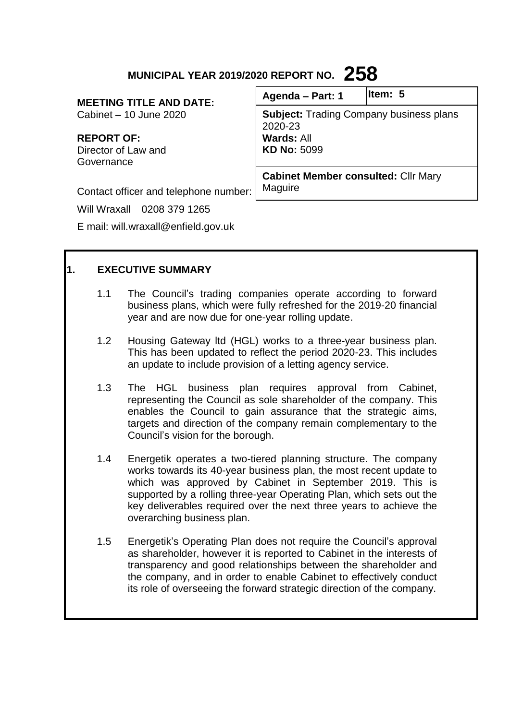# **MUNICIPAL YEAR 2019/2020 REPORT NO. 258**

**MEETING TITLE AND DATE:** Cabinet – 10 June 2020

**REPORT OF:** Director of Law and Governance

| Agenda - Part: 1                                                                              | lltem: 5 |
|-----------------------------------------------------------------------------------------------|----------|
| <b>Subject: Trading Company business plans</b><br>2020-23<br>Wards: All<br><b>KD No: 5099</b> |          |
| <b>Cabinet Member consulted: Cllr Mary</b>                                                    |          |

Contact officer and telephone number:

Will Wraxall 0208 379 1265

E mail: will.wraxall@enfield.gov.uk

# **1. EXECUTIVE SUMMARY**

1.1 The Council's trading companies operate according to forward business plans, which were fully refreshed for the 2019-20 financial year and are now due for one-year rolling update.

Maguire

- 1.2 Housing Gateway ltd (HGL) works to a three-year business plan. This has been updated to reflect the period 2020-23. This includes an update to include provision of a letting agency service.
- 1.3 The HGL business plan requires approval from Cabinet, representing the Council as sole shareholder of the company. This enables the Council to gain assurance that the strategic aims, targets and direction of the company remain complementary to the Council's vision for the borough.
- 1.4 Energetik operates a two-tiered planning structure. The company works towards its 40-year business plan, the most recent update to which was approved by Cabinet in September 2019. This is supported by a rolling three-year Operating Plan, which sets out the key deliverables required over the next three years to achieve the overarching business plan.
- 1.5 Energetik's Operating Plan does not require the Council's approval as shareholder, however it is reported to Cabinet in the interests of transparency and good relationships between the shareholder and the company, and in order to enable Cabinet to effectively conduct its role of overseeing the forward strategic direction of the company.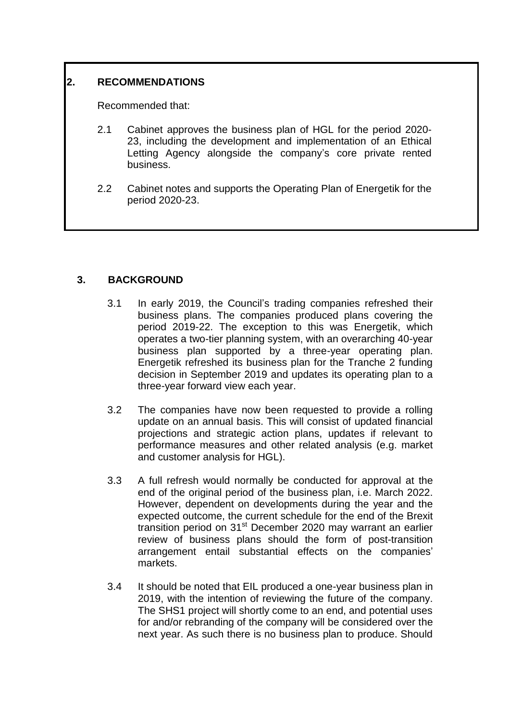# **2. RECOMMENDATIONS**

Recommended that:

- 2.1 Cabinet approves the business plan of HGL for the period 2020- 23, including the development and implementation of an Ethical Letting Agency alongside the company's core private rented business.
- 2.2 Cabinet notes and supports the Operating Plan of Energetik for the period 2020-23.

# **3. BACKGROUND**

- 3.1 In early 2019, the Council's trading companies refreshed their business plans. The companies produced plans covering the period 2019-22. The exception to this was Energetik, which operates a two-tier planning system, with an overarching 40-year business plan supported by a three-year operating plan. Energetik refreshed its business plan for the Tranche 2 funding decision in September 2019 and updates its operating plan to a three-year forward view each year.
- 3.2 The companies have now been requested to provide a rolling update on an annual basis. This will consist of updated financial projections and strategic action plans, updates if relevant to performance measures and other related analysis (e.g. market and customer analysis for HGL).
- 3.3 A full refresh would normally be conducted for approval at the end of the original period of the business plan, i.e. March 2022. However, dependent on developments during the year and the expected outcome, the current schedule for the end of the Brexit transition period on 31<sup>st</sup> December 2020 may warrant an earlier review of business plans should the form of post-transition arrangement entail substantial effects on the companies' markets.
- 3.4 It should be noted that EIL produced a one-year business plan in 2019, with the intention of reviewing the future of the company. The SHS1 project will shortly come to an end, and potential uses for and/or rebranding of the company will be considered over the next year. As such there is no business plan to produce. Should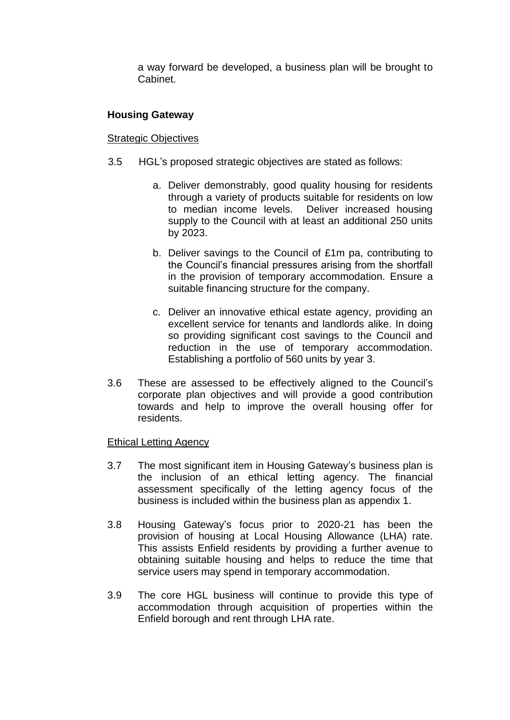a way forward be developed, a business plan will be brought to Cabinet.

#### **Housing Gateway**

#### Strategic Objectives

- 3.5 HGL's proposed strategic objectives are stated as follows:
	- a. Deliver demonstrably, good quality housing for residents through a variety of products suitable for residents on low to median income levels. Deliver increased housing supply to the Council with at least an additional 250 units by 2023.
	- b. Deliver savings to the Council of £1m pa, contributing to the Council's financial pressures arising from the shortfall in the provision of temporary accommodation. Ensure a suitable financing structure for the company.
	- c. Deliver an innovative ethical estate agency, providing an excellent service for tenants and landlords alike. In doing so providing significant cost savings to the Council and reduction in the use of temporary accommodation. Establishing a portfolio of 560 units by year 3.
- 3.6 These are assessed to be effectively aligned to the Council's corporate plan objectives and will provide a good contribution towards and help to improve the overall housing offer for residents.

#### Ethical Letting Agency

- 3.7 The most significant item in Housing Gateway's business plan is the inclusion of an ethical letting agency. The financial assessment specifically of the letting agency focus of the business is included within the business plan as appendix 1.
- 3.8 Housing Gateway's focus prior to 2020-21 has been the provision of housing at Local Housing Allowance (LHA) rate. This assists Enfield residents by providing a further avenue to obtaining suitable housing and helps to reduce the time that service users may spend in temporary accommodation.
- 3.9 The core HGL business will continue to provide this type of accommodation through acquisition of properties within the Enfield borough and rent through LHA rate.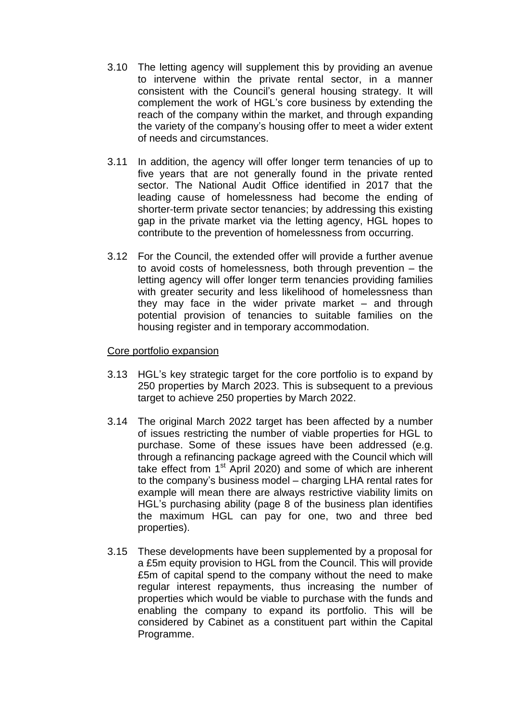- 3.10 The letting agency will supplement this by providing an avenue to intervene within the private rental sector, in a manner consistent with the Council's general housing strategy. It will complement the work of HGL's core business by extending the reach of the company within the market, and through expanding the variety of the company's housing offer to meet a wider extent of needs and circumstances.
- 3.11 In addition, the agency will offer longer term tenancies of up to five years that are not generally found in the private rented sector. The National Audit Office identified in 2017 that the leading cause of homelessness had become the ending of shorter-term private sector tenancies; by addressing this existing gap in the private market via the letting agency, HGL hopes to contribute to the prevention of homelessness from occurring.
- 3.12 For the Council, the extended offer will provide a further avenue to avoid costs of homelessness, both through prevention – the letting agency will offer longer term tenancies providing families with greater security and less likelihood of homelessness than they may face in the wider private market – and through potential provision of tenancies to suitable families on the housing register and in temporary accommodation.

#### Core portfolio expansion

- 3.13 HGL's key strategic target for the core portfolio is to expand by 250 properties by March 2023. This is subsequent to a previous target to achieve 250 properties by March 2022.
- 3.14 The original March 2022 target has been affected by a number of issues restricting the number of viable properties for HGL to purchase. Some of these issues have been addressed (e.g. through a refinancing package agreed with the Council which will take effect from 1st April 2020) and some of which are inherent to the company's business model – charging LHA rental rates for example will mean there are always restrictive viability limits on HGL's purchasing ability (page 8 of the business plan identifies the maximum HGL can pay for one, two and three bed properties).
- 3.15 These developments have been supplemented by a proposal for a £5m equity provision to HGL from the Council. This will provide £5m of capital spend to the company without the need to make regular interest repayments, thus increasing the number of properties which would be viable to purchase with the funds and enabling the company to expand its portfolio. This will be considered by Cabinet as a constituent part within the Capital Programme.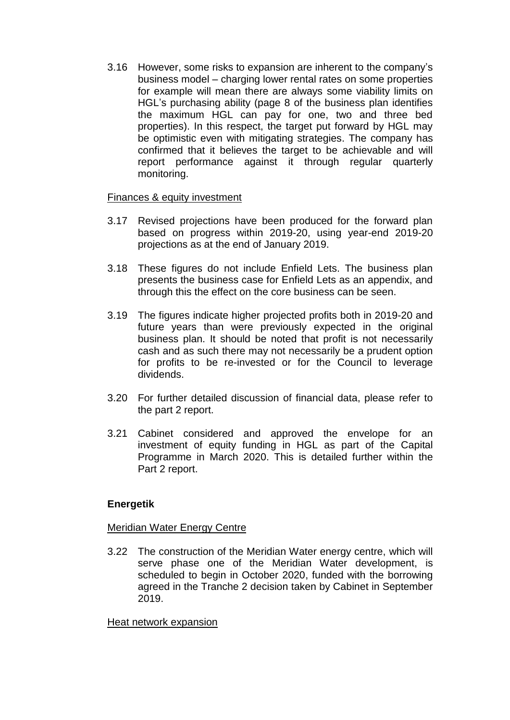3.16 However, some risks to expansion are inherent to the company's business model – charging lower rental rates on some properties for example will mean there are always some viability limits on HGL's purchasing ability (page 8 of the business plan identifies the maximum HGL can pay for one, two and three bed properties). In this respect, the target put forward by HGL may be optimistic even with mitigating strategies. The company has confirmed that it believes the target to be achievable and will report performance against it through regular quarterly monitoring.

### Finances & equity investment

- 3.17 Revised projections have been produced for the forward plan based on progress within 2019-20, using year-end 2019-20 projections as at the end of January 2019.
- 3.18 These figures do not include Enfield Lets. The business plan presents the business case for Enfield Lets as an appendix, and through this the effect on the core business can be seen.
- 3.19 The figures indicate higher projected profits both in 2019-20 and future years than were previously expected in the original business plan. It should be noted that profit is not necessarily cash and as such there may not necessarily be a prudent option for profits to be re-invested or for the Council to leverage dividends.
- 3.20 For further detailed discussion of financial data, please refer to the part 2 report.
- 3.21 Cabinet considered and approved the envelope for an investment of equity funding in HGL as part of the Capital Programme in March 2020. This is detailed further within the Part 2 report.

# **Energetik**

#### Meridian Water Energy Centre

3.22 The construction of the Meridian Water energy centre, which will serve phase one of the Meridian Water development, is scheduled to begin in October 2020, funded with the borrowing agreed in the Tranche 2 decision taken by Cabinet in September 2019.

#### Heat network expansion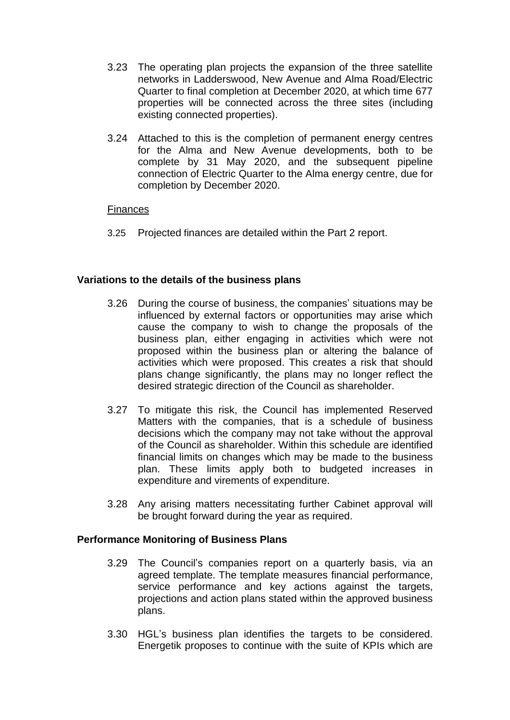- 3.23 The operating plan projects the expansion of the three satellite networks in Ladderswood, New Avenue and Alma Road/Electric Quarter to final completion at December 2020, at which time 677 properties will be connected across the three sites (including existing connected properties).
- 3.24 Attached to this is the completion of permanent energy centres for the Alma and New Avenue developments, both to be complete by 31 May 2020, and the subsequent pipeline connection of Electric Quarter to the Alma energy centre, due for completion by December 2020.

### Finances

3.25 Projected finances are detailed within the Part 2 report.

#### **Variations to the details of the business plans**

- 3.26 During the course of business, the companies' situations may be influenced by external factors or opportunities may arise which cause the company to wish to change the proposals of the business plan, either engaging in activities which were not proposed within the business plan or altering the balance of activities which were proposed. This creates a risk that should plans change significantly, the plans may no longer reflect the desired strategic direction of the Council as shareholder.
- 3.27 To mitigate this risk, the Council has implemented Reserved Matters with the companies, that is a schedule of business decisions which the company may not take without the approval of the Council as shareholder. Within this schedule are identified financial limits on changes which may be made to the business plan. These limits apply both to budgeted increases in expenditure and virements of expenditure.
- 3.28 Any arising matters necessitating further Cabinet approval will be brought forward during the year as required.

#### **Performance Monitoring of Business Plans**

- 3.29 The Council's companies report on a quarterly basis, via an agreed template. The template measures financial performance, service performance and key actions against the targets, projections and action plans stated within the approved business plans.
- 3.30 HGL's business plan identifies the targets to be considered. Energetik proposes to continue with the suite of KPIs which are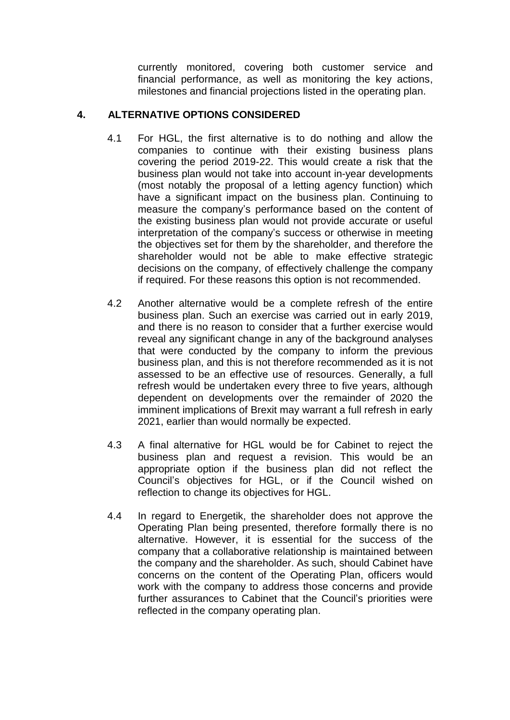currently monitored, covering both customer service and financial performance, as well as monitoring the key actions, milestones and financial projections listed in the operating plan.

# **4. ALTERNATIVE OPTIONS CONSIDERED**

- 4.1 For HGL, the first alternative is to do nothing and allow the companies to continue with their existing business plans covering the period 2019-22. This would create a risk that the business plan would not take into account in-year developments (most notably the proposal of a letting agency function) which have a significant impact on the business plan. Continuing to measure the company's performance based on the content of the existing business plan would not provide accurate or useful interpretation of the company's success or otherwise in meeting the objectives set for them by the shareholder, and therefore the shareholder would not be able to make effective strategic decisions on the company, of effectively challenge the company if required. For these reasons this option is not recommended.
- 4.2 Another alternative would be a complete refresh of the entire business plan. Such an exercise was carried out in early 2019, and there is no reason to consider that a further exercise would reveal any significant change in any of the background analyses that were conducted by the company to inform the previous business plan, and this is not therefore recommended as it is not assessed to be an effective use of resources. Generally, a full refresh would be undertaken every three to five years, although dependent on developments over the remainder of 2020 the imminent implications of Brexit may warrant a full refresh in early 2021, earlier than would normally be expected.
- 4.3 A final alternative for HGL would be for Cabinet to reject the business plan and request a revision. This would be an appropriate option if the business plan did not reflect the Council's objectives for HGL, or if the Council wished on reflection to change its objectives for HGL.
- 4.4 In regard to Energetik, the shareholder does not approve the Operating Plan being presented, therefore formally there is no alternative. However, it is essential for the success of the company that a collaborative relationship is maintained between the company and the shareholder. As such, should Cabinet have concerns on the content of the Operating Plan, officers would work with the company to address those concerns and provide further assurances to Cabinet that the Council's priorities were reflected in the company operating plan.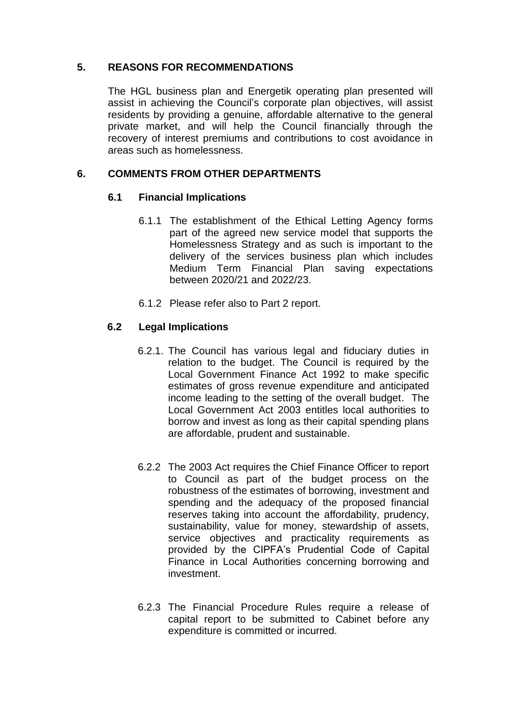# **5. REASONS FOR RECOMMENDATIONS**

The HGL business plan and Energetik operating plan presented will assist in achieving the Council's corporate plan objectives, will assist residents by providing a genuine, affordable alternative to the general private market, and will help the Council financially through the recovery of interest premiums and contributions to cost avoidance in areas such as homelessness.

### **6. COMMENTS FROM OTHER DEPARTMENTS**

#### **6.1 Financial Implications**

- 6.1.1 The establishment of the Ethical Letting Agency forms part of the agreed new service model that supports the Homelessness Strategy and as such is important to the delivery of the services business plan which includes Medium Term Financial Plan saving expectations between 2020/21 and 2022/23.
- 6.1.2 Please refer also to Part 2 report.

# **6.2 Legal Implications**

- 6.2.1. The Council has various legal and fiduciary duties in relation to the budget. The Council is required by the Local Government Finance Act 1992 to make specific estimates of gross revenue expenditure and anticipated income leading to the setting of the overall budget. The Local Government Act 2003 entitles local authorities to borrow and invest as long as their capital spending plans are affordable, prudent and sustainable.
- 6.2.2 The 2003 Act requires the Chief Finance Officer to report to Council as part of the budget process on the robustness of the estimates of borrowing, investment and spending and the adequacy of the proposed financial reserves taking into account the affordability, prudency, sustainability, value for money, stewardship of assets, service objectives and practicality requirements as provided by the CIPFA's Prudential Code of Capital Finance in Local Authorities concerning borrowing and investment.
- 6.2.3 The Financial Procedure Rules require a release of capital report to be submitted to Cabinet before any expenditure is committed or incurred.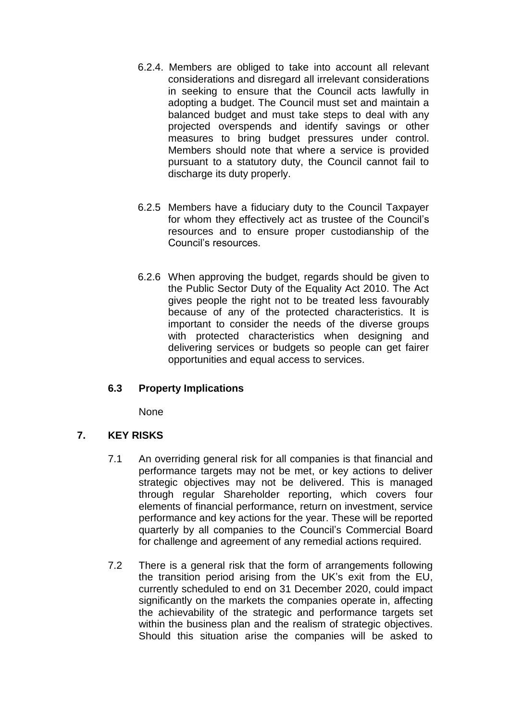- 6.2.4. Members are obliged to take into account all relevant considerations and disregard all irrelevant considerations in seeking to ensure that the Council acts lawfully in adopting a budget. The Council must set and maintain a balanced budget and must take steps to deal with any projected overspends and identify savings or other measures to bring budget pressures under control. Members should note that where a service is provided pursuant to a statutory duty, the Council cannot fail to discharge its duty properly.
- 6.2.5 Members have a fiduciary duty to the Council Taxpayer for whom they effectively act as trustee of the Council's resources and to ensure proper custodianship of the Council's resources.
- 6.2.6 When approving the budget, regards should be given to the Public Sector Duty of the Equality Act 2010. The Act gives people the right not to be treated less favourably because of any of the protected characteristics. It is important to consider the needs of the diverse groups with protected characteristics when designing and delivering services or budgets so people can get fairer opportunities and equal access to services.

# **6.3 Property Implications**

None

# **7. KEY RISKS**

- 7.1 An overriding general risk for all companies is that financial and performance targets may not be met, or key actions to deliver strategic objectives may not be delivered. This is managed through regular Shareholder reporting, which covers four elements of financial performance, return on investment, service performance and key actions for the year. These will be reported quarterly by all companies to the Council's Commercial Board for challenge and agreement of any remedial actions required.
- 7.2 There is a general risk that the form of arrangements following the transition period arising from the UK's exit from the EU, currently scheduled to end on 31 December 2020, could impact significantly on the markets the companies operate in, affecting the achievability of the strategic and performance targets set within the business plan and the realism of strategic objectives. Should this situation arise the companies will be asked to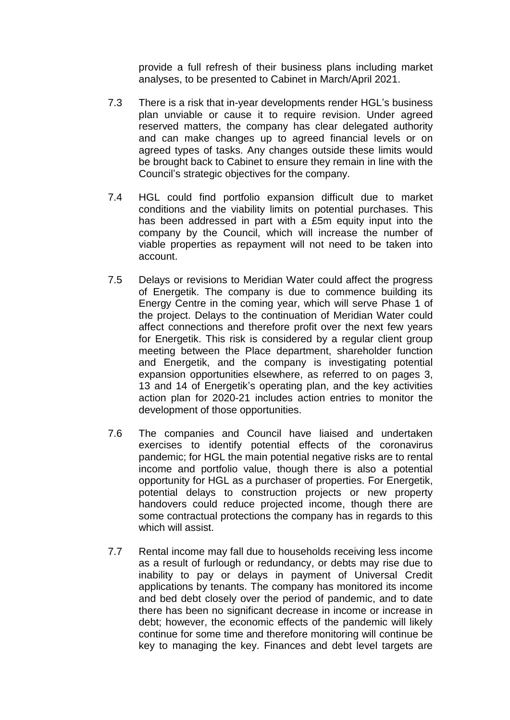provide a full refresh of their business plans including market analyses, to be presented to Cabinet in March/April 2021.

- 7.3 There is a risk that in-year developments render HGL's business plan unviable or cause it to require revision. Under agreed reserved matters, the company has clear delegated authority and can make changes up to agreed financial levels or on agreed types of tasks. Any changes outside these limits would be brought back to Cabinet to ensure they remain in line with the Council's strategic objectives for the company.
- 7.4 HGL could find portfolio expansion difficult due to market conditions and the viability limits on potential purchases. This has been addressed in part with a £5m equity input into the company by the Council, which will increase the number of viable properties as repayment will not need to be taken into account.
- 7.5 Delays or revisions to Meridian Water could affect the progress of Energetik. The company is due to commence building its Energy Centre in the coming year, which will serve Phase 1 of the project. Delays to the continuation of Meridian Water could affect connections and therefore profit over the next few years for Energetik. This risk is considered by a regular client group meeting between the Place department, shareholder function and Energetik, and the company is investigating potential expansion opportunities elsewhere, as referred to on pages 3, 13 and 14 of Energetik's operating plan, and the key activities action plan for 2020-21 includes action entries to monitor the development of those opportunities.
- 7.6 The companies and Council have liaised and undertaken exercises to identify potential effects of the coronavirus pandemic; for HGL the main potential negative risks are to rental income and portfolio value, though there is also a potential opportunity for HGL as a purchaser of properties. For Energetik, potential delays to construction projects or new property handovers could reduce projected income, though there are some contractual protections the company has in regards to this which will assist.
- 7.7 Rental income may fall due to households receiving less income as a result of furlough or redundancy, or debts may rise due to inability to pay or delays in payment of Universal Credit applications by tenants. The company has monitored its income and bed debt closely over the period of pandemic, and to date there has been no significant decrease in income or increase in debt; however, the economic effects of the pandemic will likely continue for some time and therefore monitoring will continue be key to managing the key. Finances and debt level targets are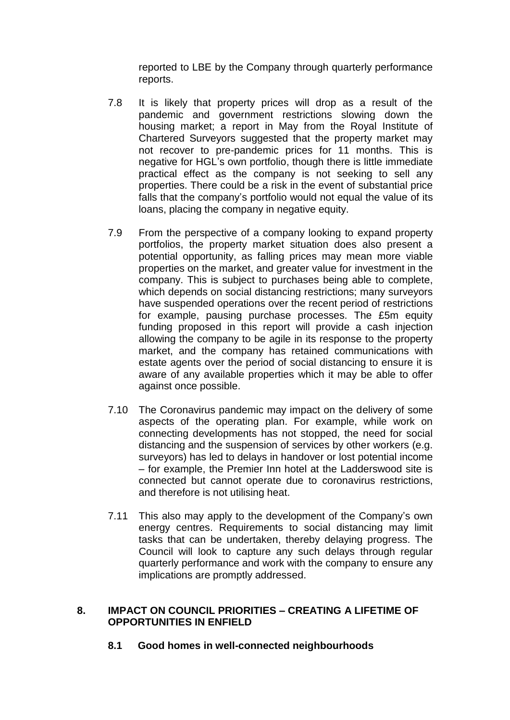reported to LBE by the Company through quarterly performance reports.

- 7.8 It is likely that property prices will drop as a result of the pandemic and government restrictions slowing down the housing market; a report in May from the Royal Institute of Chartered Surveyors suggested that the property market may not recover to pre-pandemic prices for 11 months. This is negative for HGL's own portfolio, though there is little immediate practical effect as the company is not seeking to sell any properties. There could be a risk in the event of substantial price falls that the company's portfolio would not equal the value of its loans, placing the company in negative equity.
- 7.9 From the perspective of a company looking to expand property portfolios, the property market situation does also present a potential opportunity, as falling prices may mean more viable properties on the market, and greater value for investment in the company. This is subject to purchases being able to complete, which depends on social distancing restrictions; many surveyors have suspended operations over the recent period of restrictions for example, pausing purchase processes. The £5m equity funding proposed in this report will provide a cash injection allowing the company to be agile in its response to the property market, and the company has retained communications with estate agents over the period of social distancing to ensure it is aware of any available properties which it may be able to offer against once possible.
- 7.10 The Coronavirus pandemic may impact on the delivery of some aspects of the operating plan. For example, while work on connecting developments has not stopped, the need for social distancing and the suspension of services by other workers (e.g. surveyors) has led to delays in handover or lost potential income – for example, the Premier Inn hotel at the Ladderswood site is connected but cannot operate due to coronavirus restrictions, and therefore is not utilising heat.
- 7.11 This also may apply to the development of the Company's own energy centres. Requirements to social distancing may limit tasks that can be undertaken, thereby delaying progress. The Council will look to capture any such delays through regular quarterly performance and work with the company to ensure any implications are promptly addressed.

#### **8. IMPACT ON COUNCIL PRIORITIES – CREATING A LIFETIME OF OPPORTUNITIES IN ENFIELD**

**8.1 Good homes in well-connected neighbourhoods**